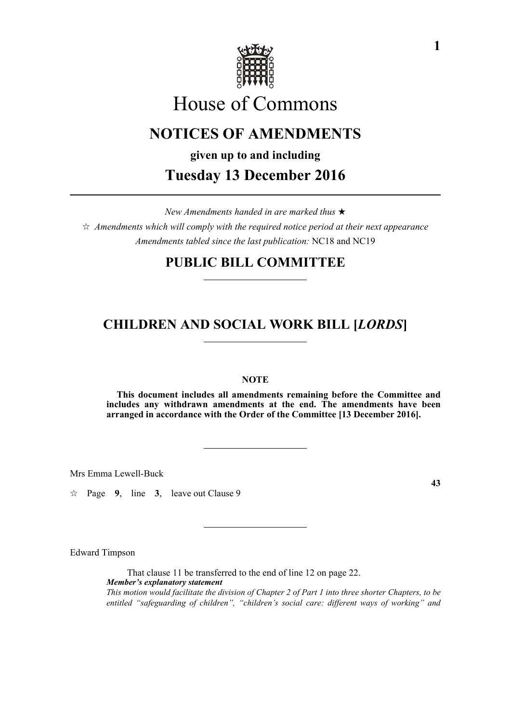

# House of Commons

# **NOTICES OF AMENDMENTS**

**given up to and including Tuesday 13 December 2016**

*New Amendments handed in are marked thus* 

 $\hat{\varphi}$  Amendments which will comply with the required notice period at their next appearance *Amendments tabled since the last publication:* NC18 and NC19

# **PUBLIC BILL COMMITTEE**

# **CHILDREN AND SOCIAL WORK BILL [***LORDS***]**

# **NOTE**

**This document includes all amendments remaining before the Committee and includes any withdrawn amendments at the end. The amendments have been arranged in accordance with the Order of the Committee [13 December 2016].**

Mrs Emma Lewell-Buck

 $\approx$  Page 9, line 3, leave out Clause 9

Edward Timpson

That clause 11 be transferred to the end of line 12 on page 22. *Member's explanatory statement This motion would facilitate the division of Chapter 2 of Part 1 into three shorter Chapters, to be entitled "safeguarding of children", "children's social care: different ways of working" and*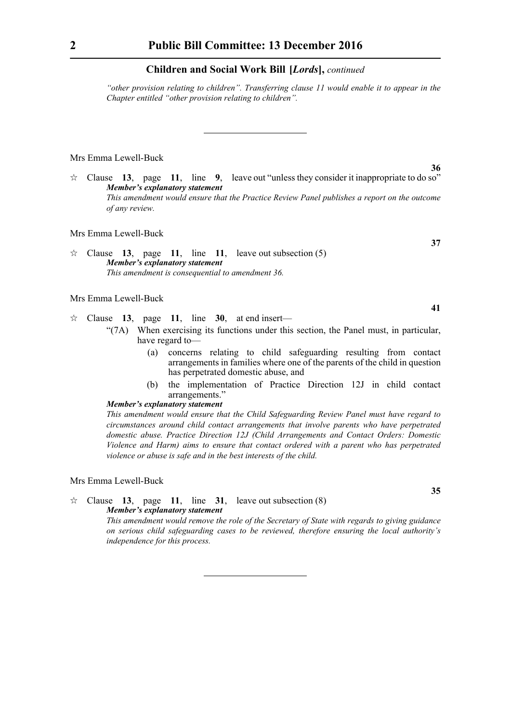*"other provision relating to children". Transferring clause 11 would enable it to appear in the Chapter entitled "other provision relating to children".*

#### Mrs Emma Lewell-Buck

 $\forall$  Clause **13**, page **11**, line **9**, leave out "unless they consider it inappropriate to do so" *Member's explanatory statement This amendment would ensure that the Practice Review Panel publishes a report on the outcome of any review.*

#### Mrs Emma Lewell-Buck

 $\approx$  Clause **13**, page **11**, line **11**, leave out subsection (5) *Member's explanatory statement This amendment is consequential to amendment 36.*

#### Mrs Emma Lewell-Buck

- $\approx$  Clause 13, page 11, line 30, at end insert—
	- "(7A) When exercising its functions under this section, the Panel must, in particular, have regard to—
		- (a) concerns relating to child safeguarding resulting from contact arrangements in families where one of the parents of the child in question has perpetrated domestic abuse, and
		- (b) the implementation of Practice Direction 12J in child contact arrangements."

# *Member's explanatory statement*

*This amendment would ensure that the Child Safeguarding Review Panel must have regard to circumstances around child contact arrangements that involve parents who have perpetrated domestic abuse. Practice Direction 12J (Child Arrangements and Contact Orders: Domestic Violence and Harm) aims to ensure that contact ordered with a parent who has perpetrated violence or abuse is safe and in the best interests of the child.*

#### Mrs Emma Lewell-Buck

 $\hat{\varphi}$  Clause **13**, page **11**, line **31**, leave out subsection (8) *Member's explanatory statement* 

*This amendment would remove the role of the Secretary of State with regards to giving guidance on serious child safeguarding cases to be reviewed, therefore ensuring the local authority's independence for this process.*

**36**

**41**

**37**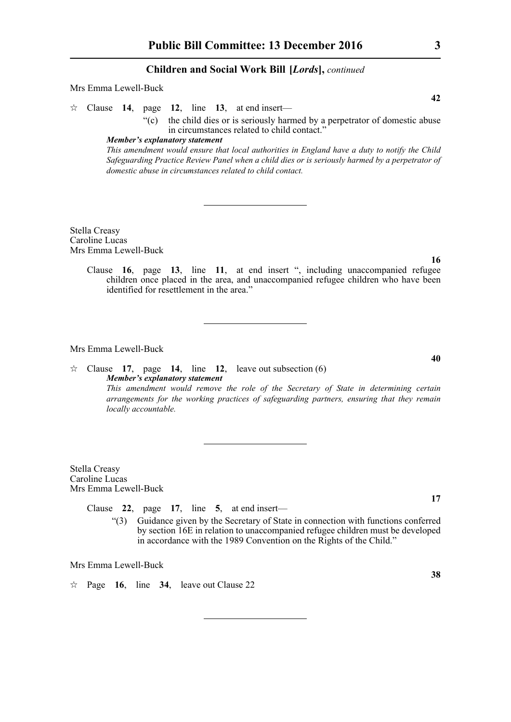#### Mrs Emma Lewell-Buck

 $\approx$  Clause **14**, page **12**, line **13**, at end insert—

"(c) the child dies or is seriously harmed by a perpetrator of domestic abuse in circumstances related to child contact."

# *Member's explanatory statement*

*This amendment would ensure that local authorities in England have a duty to notify the Child Safeguarding Practice Review Panel when a child dies or is seriously harmed by a perpetrator of domestic abuse in circumstances related to child contact.*

Stella Creasy Caroline Lucas Mrs Emma Lewell-Buck

**16**

**40**

Clause **16**, page **13**, line **11**, at end insert ", including unaccompanied refugee children once placed in the area, and unaccompanied refugee children who have been identified for resettlement in the area."

Mrs Emma Lewell-Buck

 $\angle$  Clause **17**, page **14**, line **12**, leave out subsection (6) *Member's explanatory statement This amendment would remove the role of the Secretary of State in determining certain arrangements for the working practices of safeguarding partners, ensuring that they remain locally accountable.*

Stella Creasy Caroline Lucas Mrs Emma Lewell-Buck

Clause **22**, page **17**, line **5**, at end insert—

"(3) Guidance given by the Secretary of State in connection with functions conferred by section 16E in relation to unaccompanied refugee children must be developed in accordance with the 1989 Convention on the Rights of the Child."

Mrs Emma Lewell-Buck

 $\approx$  Page 16, line 34, leave out Clause 22

**42**

**17**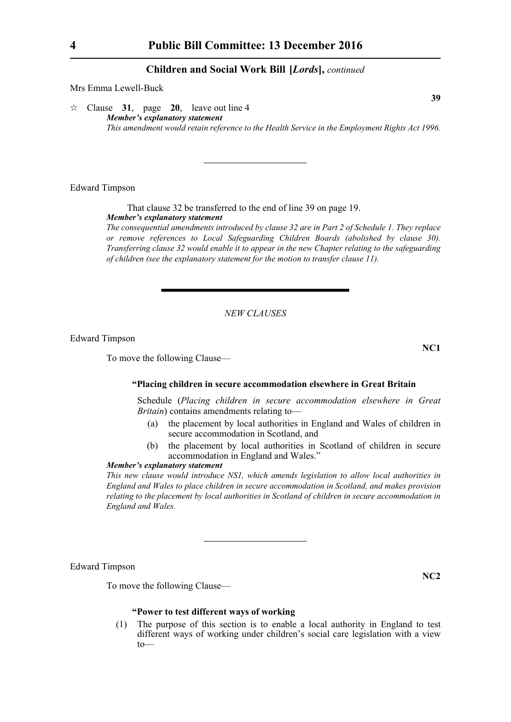Mrs Emma Lewell-Buck

 $\approx$  Clause 31, page 20, leave out line 4 *Member's explanatory statement This amendment would retain reference to the Health Service in the Employment Rights Act 1996.*

Edward Timpson

That clause 32 be transferred to the end of line 39 on page 19. *Member's explanatory statement* 

*The consequential amendments introduced by clause 32 are in Part 2 of Schedule 1. They replace or remove references to Local Safeguarding Children Boards (abolished by clause 30). Transferring clause 32 would enable it to appear in the new Chapter relating to the safeguarding of children (see the explanatory statement for the motion to transfer clause 11).*

# *NEW CLAUSES*

Edward Timpson

To move the following Clause—

#### **"Placing children in secure accommodation elsewhere in Great Britain**

Schedule (*Placing children in secure accommodation elsewhere in Great Britain*) contains amendments relating to—

- (a) the placement by local authorities in England and Wales of children in secure accommodation in Scotland, and
- (b) the placement by local authorities in Scotland of children in secure accommodation in England and Wales."

# *Member's explanatory statement*

*This new clause would introduce NS1, which amends legislation to allow local authorities in England and Wales to place children in secure accommodation in Scotland, and makes provision relating to the placement by local authorities in Scotland of children in secure accommodation in England and Wales.*

Edward Timpson

To move the following Clause—

# **"Power to test different ways of working**

(1) The purpose of this section is to enable a local authority in England to test different ways of working under children's social care legislation with a view to—

**39**

**NC1**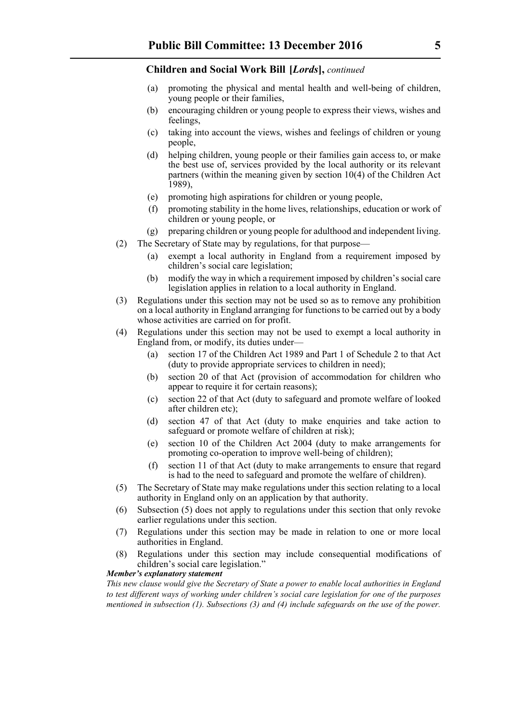- (a) promoting the physical and mental health and well-being of children, young people or their families,
- (b) encouraging children or young people to express their views, wishes and feelings,
- (c) taking into account the views, wishes and feelings of children or young people,
- (d) helping children, young people or their families gain access to, or make the best use of, services provided by the local authority or its relevant partners (within the meaning given by section 10(4) of the Children Act 1989),
- (e) promoting high aspirations for children or young people,
- (f) promoting stability in the home lives, relationships, education or work of children or young people, or
- (g) preparing children or young people for adulthood and independent living.
- (2) The Secretary of State may by regulations, for that purpose—
	- (a) exempt a local authority in England from a requirement imposed by children's social care legislation;
	- (b) modify the way in which a requirement imposed by children's social care legislation applies in relation to a local authority in England.
- (3) Regulations under this section may not be used so as to remove any prohibition on a local authority in England arranging for functions to be carried out by a body whose activities are carried on for profit.
- (4) Regulations under this section may not be used to exempt a local authority in England from, or modify, its duties under—
	- (a) section 17 of the Children Act 1989 and Part 1 of Schedule 2 to that Act (duty to provide appropriate services to children in need);
	- (b) section 20 of that Act (provision of accommodation for children who appear to require it for certain reasons);
	- (c) section 22 of that Act (duty to safeguard and promote welfare of looked after children etc);
	- (d) section 47 of that Act (duty to make enquiries and take action to safeguard or promote welfare of children at risk);
	- (e) section 10 of the Children Act 2004 (duty to make arrangements for promoting co-operation to improve well-being of children);
	- (f) section 11 of that Act (duty to make arrangements to ensure that regard is had to the need to safeguard and promote the welfare of children).
- (5) The Secretary of State may make regulations under this section relating to a local authority in England only on an application by that authority.
- (6) Subsection (5) does not apply to regulations under this section that only revoke earlier regulations under this section.
- (7) Regulations under this section may be made in relation to one or more local authorities in England.
- (8) Regulations under this section may include consequential modifications of children's social care legislation."

# *Member's explanatory statement*

*This new clause would give the Secretary of State a power to enable local authorities in England to test different ways of working under children's social care legislation for one of the purposes mentioned in subsection (1). Subsections (3) and (4) include safeguards on the use of the power.*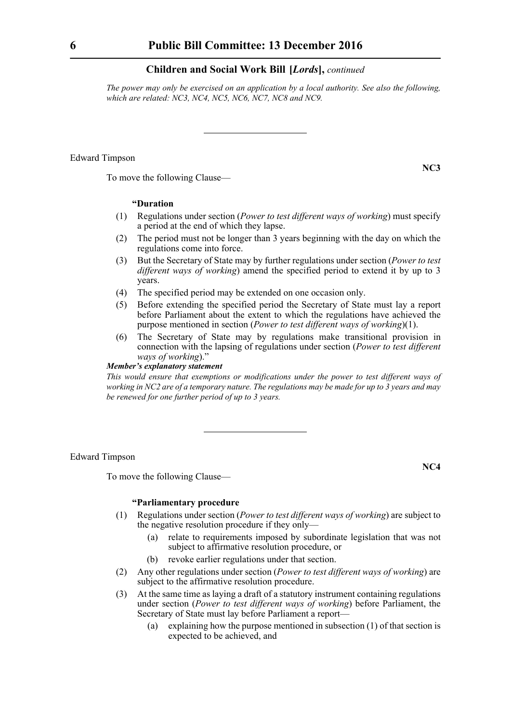*The power may only be exercised on an application by a local authority. See also the following, which are related: NC3, NC4, NC5, NC6, NC7, NC8 and NC9.*

# Edward Timpson

To move the following Clause—

#### **"Duration**

- (1) Regulations under section (*Power to test different ways of working*) must specify a period at the end of which they lapse.
- (2) The period must not be longer than 3 years beginning with the day on which the regulations come into force.
- (3) But the Secretary of State may by further regulations under section (*Power to test different ways of working*) amend the specified period to extend it by up to 3 years.
- (4) The specified period may be extended on one occasion only.
- (5) Before extending the specified period the Secretary of State must lay a report before Parliament about the extent to which the regulations have achieved the purpose mentioned in section (*Power to test different ways of working*)(1).
- (6) The Secretary of State may by regulations make transitional provision in connection with the lapsing of regulations under section (*Power to test different ways of working*)."

# *Member's explanatory statement*

*This would ensure that exemptions or modifications under the power to test different ways of working in NC2 are of a temporary nature. The regulations may be made for up to 3 years and may be renewed for one further period of up to 3 years.*

Edward Timpson

To move the following Clause—

#### **"Parliamentary procedure**

- (1) Regulations under section (*Power to test different ways of working*) are subject to the negative resolution procedure if they only—
	- (a) relate to requirements imposed by subordinate legislation that was not subject to affirmative resolution procedure, or
	- (b) revoke earlier regulations under that section.
- (2) Any other regulations under section (*Power to test different ways of working*) are subject to the affirmative resolution procedure.
- (3) At the same time as laying a draft of a statutory instrument containing regulations under section (*Power to test different ways of working*) before Parliament, the Secretary of State must lay before Parliament a report—
	- (a) explaining how the purpose mentioned in subsection (1) of that section is expected to be achieved, and

**NC3**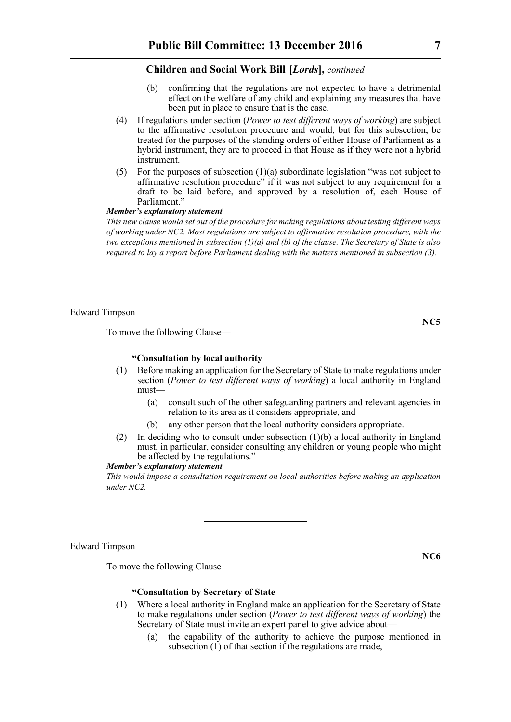- (b) confirming that the regulations are not expected to have a detrimental effect on the welfare of any child and explaining any measures that have been put in place to ensure that is the case.
- (4) If regulations under section (*Power to test different ways of working*) are subject to the affirmative resolution procedure and would, but for this subsection, be treated for the purposes of the standing orders of either House of Parliament as a hybrid instrument, they are to proceed in that House as if they were not a hybrid instrument.
- (5) For the purposes of subsection  $(1)(a)$  subordinate legislation "was not subject to affirmative resolution procedure" if it was not subject to any requirement for a draft to be laid before, and approved by a resolution of, each House of Parliament."

# *Member's explanatory statement*

*This new clause would set out of the procedure for making regulations about testing different ways of working under NC2. Most regulations are subject to affirmative resolution procedure, with the two exceptions mentioned in subsection (1)(a) and (b) of the clause. The Secretary of State is also required to lay a report before Parliament dealing with the matters mentioned in subsection (3).*

Edward Timpson

To move the following Clause—

# **"Consultation by local authority**

- (1) Before making an application for the Secretary of State to make regulations under section (*Power to test different ways of working*) a local authority in England must—
	- (a) consult such of the other safeguarding partners and relevant agencies in relation to its area as it considers appropriate, and
	- (b) any other person that the local authority considers appropriate.
- (2) In deciding who to consult under subsection (1)(b) a local authority in England must, in particular, consider consulting any children or young people who might be affected by the regulations."

#### *Member's explanatory statement*

*This would impose a consultation requirement on local authorities before making an application under NC2.*

# Edward Timpson

To move the following Clause—

# **"Consultation by Secretary of State**

- (1) Where a local authority in England make an application for the Secretary of State to make regulations under section (*Power to test different ways of working*) the Secretary of State must invite an expert panel to give advice about—
	- (a) the capability of the authority to achieve the purpose mentioned in subsection (1) of that section if the regulations are made,

**NC6**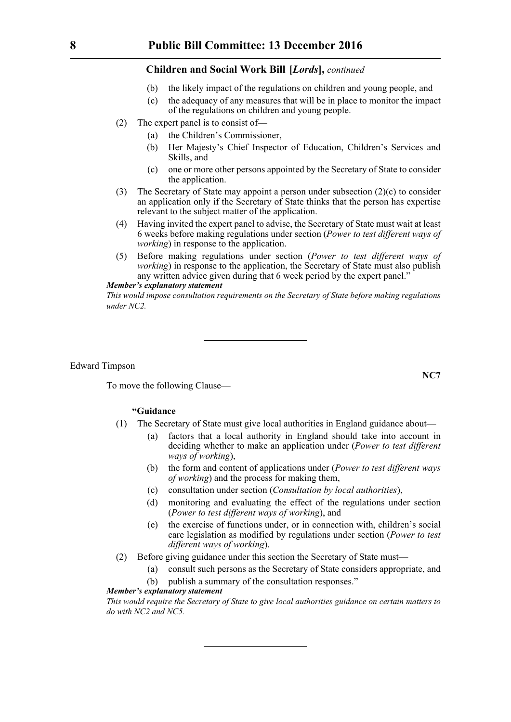- (b) the likely impact of the regulations on children and young people, and
- (c) the adequacy of any measures that will be in place to monitor the impact of the regulations on children and young people.
- (2) The expert panel is to consist of—
	- (a) the Children's Commissioner,
	- (b) Her Majesty's Chief Inspector of Education, Children's Services and Skills, and
	- (c) one or more other persons appointed by the Secretary of State to consider the application.
- (3) The Secretary of State may appoint a person under subsection (2)(c) to consider an application only if the Secretary of State thinks that the person has expertise relevant to the subject matter of the application.
- (4) Having invited the expert panel to advise, the Secretary of State must wait at least 6 weeks before making regulations under section (*Power to test different ways of working*) in response to the application.
- (5) Before making regulations under section (*Power to test different ways of working*) in response to the application, the Secretary of State must also publish any written advice given during that 6 week period by the expert panel."

### *Member's explanatory statement*

*This would impose consultation requirements on the Secretary of State before making regulations under NC2.*

Edward Timpson

To move the following Clause—

# **"Guidance**

- (1) The Secretary of State must give local authorities in England guidance about—
	- (a) factors that a local authority in England should take into account in deciding whether to make an application under (*Power to test different ways of working*),
	- (b) the form and content of applications under (*Power to test different ways of working*) and the process for making them,
	- (c) consultation under section (*Consultation by local authorities*),
	- (d) monitoring and evaluating the effect of the regulations under section (*Power to test different ways of working*), and
	- (e) the exercise of functions under, or in connection with, children's social care legislation as modified by regulations under section (*Power to test different ways of working*).
- (2) Before giving guidance under this section the Secretary of State must—
	- (a) consult such persons as the Secretary of State considers appropriate, and
	- (b) publish a summary of the consultation responses."

# *Member's explanatory statement*

*This would require the Secretary of State to give local authorities guidance on certain matters to do with NC2 and NC5.*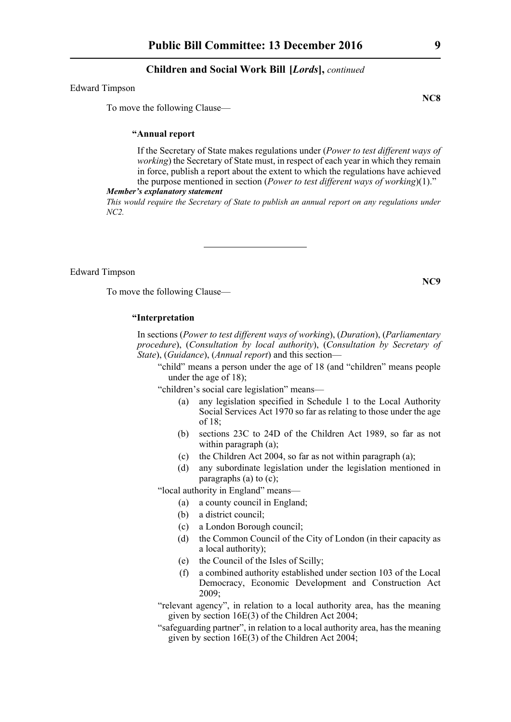#### Edward Timpson

To move the following Clause—

# **"Annual report**

If the Secretary of State makes regulations under (*Power to test different ways of working*) the Secretary of State must, in respect of each year in which they remain in force, publish a report about the extent to which the regulations have achieved the purpose mentioned in section (*Power to test different ways of working*)(1)."

#### *Member's explanatory statement*

*This would require the Secretary of State to publish an annual report on any regulations under NC2.*

Edward Timpson

To move the following Clause—

### **"Interpretation**

In sections (*Power to test different ways of working*), (*Duration*), (*Parliamentary procedure*), (*Consultation by local authority*), (*Consultation by Secretary of State*), (*Guidance*), (*Annual report*) and this section—

"child" means a person under the age of 18 (and "children" means people under the age of 18);

"children's social care legislation" means—

- (a) any legislation specified in Schedule 1 to the Local Authority Social Services Act 1970 so far as relating to those under the age of 18;
- (b) sections 23C to 24D of the Children Act 1989, so far as not within paragraph (a);
- (c) the Children Act 2004, so far as not within paragraph (a);
- (d) any subordinate legislation under the legislation mentioned in paragraphs (a) to (c);

"local authority in England" means—

- (a) a county council in England;
- (b) a district council;
- (c) a London Borough council;
- (d) the Common Council of the City of London (in their capacity as a local authority);
- (e) the Council of the Isles of Scilly;
- (f) a combined authority established under section 103 of the Local Democracy, Economic Development and Construction Act 2009;
- "relevant agency", in relation to a local authority area, has the meaning given by section 16E(3) of the Children Act 2004;
- "safeguarding partner", in relation to a local authority area, has the meaning given by section 16E(3) of the Children Act 2004;

**NC8**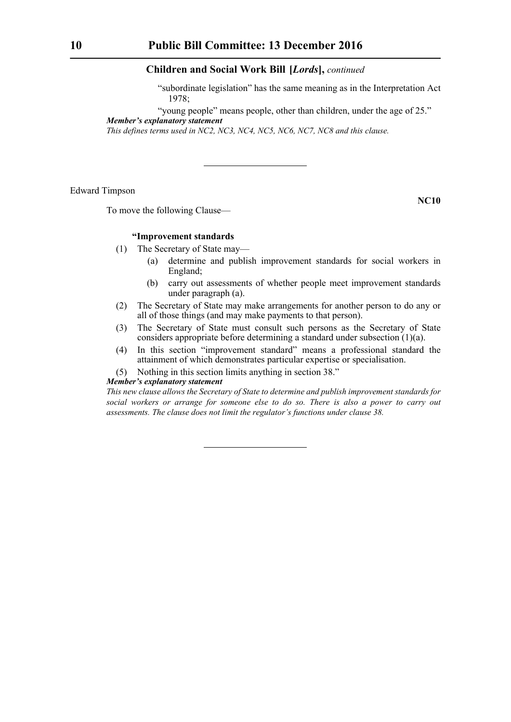"subordinate legislation" has the same meaning as in the Interpretation Act 1978;

"young people" means people, other than children, under the age of 25."

*Member's explanatory statement* 

*This defines terms used in NC2, NC3, NC4, NC5, NC6, NC7, NC8 and this clause.*

Edward Timpson

To move the following Clause—

# **NC10**

#### **"Improvement standards**

- (1) The Secretary of State may—
	- (a) determine and publish improvement standards for social workers in England;
	- (b) carry out assessments of whether people meet improvement standards under paragraph (a).
- (2) The Secretary of State may make arrangements for another person to do any or all of those things (and may make payments to that person).
- (3) The Secretary of State must consult such persons as the Secretary of State considers appropriate before determining a standard under subsection (1)(a).
- (4) In this section "improvement standard" means a professional standard the attainment of which demonstrates particular expertise or specialisation.
- (5) Nothing in this section limits anything in section 38."

# *Member's explanatory statement*

*This new clause allows the Secretary of State to determine and publish improvement standards for social workers or arrange for someone else to do so. There is also a power to carry out assessments. The clause does not limit the regulator's functions under clause 38.*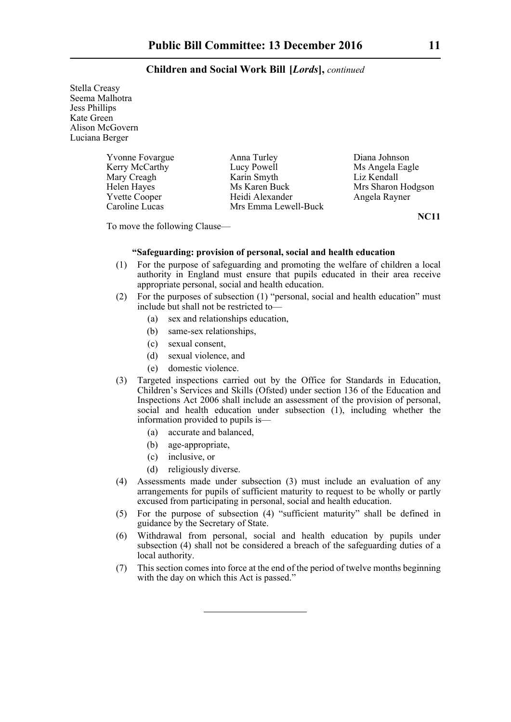Stella Creasy Seema Malhotra Jess Phillips Kate Green Alison McGovern Luciana Berger

| <b>Yvonne Fovargue</b> | Anna Turley          | Diana Johnson      |
|------------------------|----------------------|--------------------|
| Kerry McCarthy         | Lucy Powell          | Ms Angela Eagle    |
| Mary Creagh            | Karin Smyth          | Liz Kendall        |
| Helen Hayes            | Ms Karen Buck        | Mrs Sharon Hodgson |
| <b>Yvette Cooper</b>   | Heidi Alexander      | Angela Rayner      |
| Caroline Lucas         | Mrs Emma Lewell-Buck |                    |

**NC11**

To move the following Clause—

### **"Safeguarding: provision of personal, social and health education**

- (1) For the purpose of safeguarding and promoting the welfare of children a local authority in England must ensure that pupils educated in their area receive appropriate personal, social and health education.
- (2) For the purposes of subsection (1) "personal, social and health education" must include but shall not be restricted to—
	- (a) sex and relationships education,
	- (b) same-sex relationships,
	- (c) sexual consent,
	- (d) sexual violence, and
	- (e) domestic violence.
- (3) Targeted inspections carried out by the Office for Standards in Education, Children's Services and Skills (Ofsted) under section 136 of the Education and Inspections Act 2006 shall include an assessment of the provision of personal, social and health education under subsection (1), including whether the information provided to pupils is—
	- (a) accurate and balanced,
	- (b) age-appropriate,
	- (c) inclusive, or
	- (d) religiously diverse.
- (4) Assessments made under subsection (3) must include an evaluation of any arrangements for pupils of sufficient maturity to request to be wholly or partly excused from participating in personal, social and health education.
- (5) For the purpose of subsection (4) "sufficient maturity" shall be defined in guidance by the Secretary of State.
- (6) Withdrawal from personal, social and health education by pupils under subsection (4) shall not be considered a breach of the safeguarding duties of a local authority.
- (7) This section comes into force at the end of the period of twelve months beginning with the day on which this Act is passed."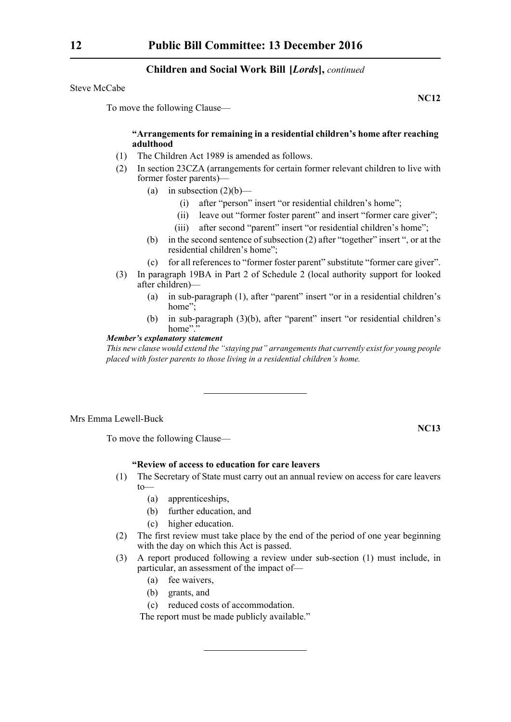Steve McCabe

To move the following Clause—

# **"Arrangements for remaining in a residential children's home after reaching adulthood**

- (1) The Children Act 1989 is amended as follows.
- (2) In section 23CZA (arrangements for certain former relevant children to live with former foster parents)—
	- (a) in subsection  $(2)(b)$ 
		- (i) after "person" insert "or residential children's home";
		- (ii) leave out "former foster parent" and insert "former care giver";
		- (iii) after second "parent" insert "or residential children's home";
	- (b) in the second sentence of subsection (2) after "together" insert ", or at the residential children's home";
	- (c) for all references to "former foster parent" substitute "former care giver".
- (3) In paragraph 19BA in Part 2 of Schedule 2 (local authority support for looked after children)—
	- (a) in sub-paragraph (1), after "parent" insert "or in a residential children's home":
	- (b) in sub-paragraph (3)(b), after "parent" insert "or residential children's home".

#### *Member's explanatory statement*

*This new clause would extend the "staying put" arrangements that currently exist for young people placed with foster parents to those living in a residential children's home.*

# Mrs Emma Lewell-Buck

To move the following Clause—

# **"Review of access to education for care leavers**

- (1) The Secretary of State must carry out an annual review on access for care leavers to—
	- (a) apprenticeships,
	- (b) further education, and
	- (c) higher education.
- (2) The first review must take place by the end of the period of one year beginning with the day on which this Act is passed.
- (3) A report produced following a review under sub-section (1) must include, in particular, an assessment of the impact of—
	- (a) fee waivers,
	- (b) grants, and
	- (c) reduced costs of accommodation.

The report must be made publicly available."

**NC13**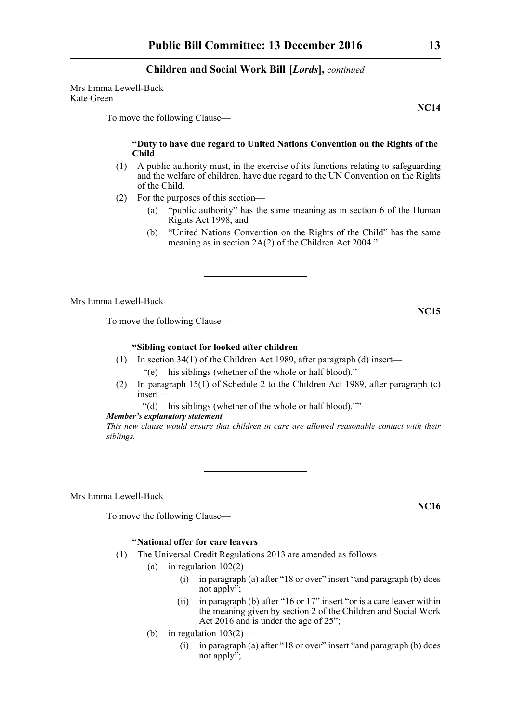Mrs Emma Lewell-Buck Kate Green

To move the following Clause—

# **"Duty to have due regard to United Nations Convention on the Rights of the Child**

- (1) A public authority must, in the exercise of its functions relating to safeguarding and the welfare of children, have due regard to the UN Convention on the Rights of the Child.
- (2) For the purposes of this section—
	- (a) "public authority" has the same meaning as in section 6 of the Human Rights Act 1998, and
	- (b) "United Nations Convention on the Rights of the Child" has the same meaning as in section 2A(2) of the Children Act 2004."

Mrs Emma Lewell-Buck

To move the following Clause—

# **"Sibling contact for looked after children**

- (1) In section 34(1) of the Children Act 1989, after paragraph (d) insert— "(e) his siblings (whether of the whole or half blood)."
- (2) In paragraph 15(1) of Schedule 2 to the Children Act 1989, after paragraph (c) insert—

"(d) his siblings (whether of the whole or half blood).""

*Member's explanatory statement* 

*This new clause would ensure that children in care are allowed reasonable contact with their siblings.*

Mrs Emma Lewell-Buck

To move the following Clause—

# **"National offer for care leavers**

- (1) The Universal Credit Regulations 2013 are amended as follows—
	- (a) in regulation  $102(2)$ 
		- (i) in paragraph (a) after "18 or over" insert "and paragraph (b) does not apply";
		- (ii) in paragraph (b) after "16 or 17" insert "or is a care leaver within the meaning given by section 2 of the Children and Social Work Act 2016 and is under the age of 25";
	- (b) in regulation  $103(2)$ 
		- (i) in paragraph (a) after "18 or over" insert "and paragraph (b) does not apply";

**NC16**

**NC14**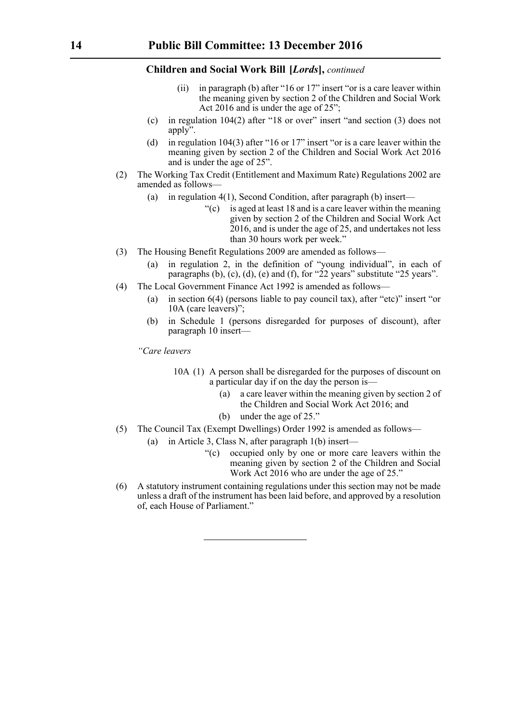- (ii) in paragraph (b) after "16 or 17" insert "or is a care leaver within the meaning given by section 2 of the Children and Social Work Act 2016 and is under the age of 25";
- (c) in regulation 104(2) after "18 or over" insert "and section (3) does not apply".
- (d) in regulation 104(3) after "16 or 17" insert "or is a care leaver within the meaning given by section 2 of the Children and Social Work Act 2016 and is under the age of 25".
- (2) The Working Tax Credit (Entitlement and Maximum Rate) Regulations 2002 are amended as follows—
	- (a) in regulation 4(1), Second Condition, after paragraph (b) insert—
		- $\degree$  (c) is aged at least 18 and is a care leaver within the meaning given by section 2 of the Children and Social Work Act 2016, and is under the age of 25, and undertakes not less than 30 hours work per week."
- (3) The Housing Benefit Regulations 2009 are amended as follows—
	- (a) in regulation 2, in the definition of "young individual", in each of paragraphs (b), (c), (d), (e) and (f), for "22 years" substitute "25 years".
- (4) The Local Government Finance Act 1992 is amended as follows—
	- (a) in section 6(4) (persons liable to pay council tax), after "etc)" insert "or 10A (care leavers)";
	- (b) in Schedule 1 (persons disregarded for purposes of discount), after paragraph 10 insert—

*"Care leavers*

- 10A (1) A person shall be disregarded for the purposes of discount on a particular day if on the day the person is—
	- (a) a care leaver within the meaning given by section 2 of the Children and Social Work Act 2016; and
	- (b) under the age of 25."
- (5) The Council Tax (Exempt Dwellings) Order 1992 is amended as follows—
	- (a) in Article 3, Class N, after paragraph 1(b) insert—
		- "(c) occupied only by one or more care leavers within the meaning given by section 2 of the Children and Social Work Act 2016 who are under the age of 25."
- (6) A statutory instrument containing regulations under this section may not be made unless a draft of the instrument has been laid before, and approved by a resolution of, each House of Parliament."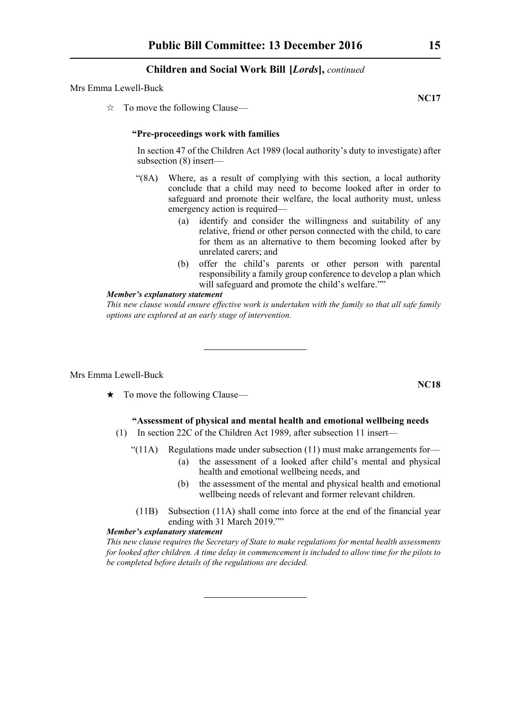#### Mrs Emma Lewell-Buck

 $\vec{\mathcal{R}}$  To move the following Clause—

#### **"Pre-proceedings work with families**

In section 47 of the Children Act 1989 (local authority's duty to investigate) after subsection (8) insert—

- "(8A) Where, as a result of complying with this section, a local authority conclude that a child may need to become looked after in order to safeguard and promote their welfare, the local authority must, unless emergency action is required—
	- (a) identify and consider the willingness and suitability of any relative, friend or other person connected with the child, to care for them as an alternative to them becoming looked after by unrelated carers; and
	- (b) offer the child's parents or other person with parental responsibility a family group conference to develop a plan which will safeguard and promote the child's welfare.""

#### *Member's explanatory statement*

*This new clause would ensure effective work is undertaken with the family so that all safe family options are explored at an early stage of intervention.*

#### Mrs Emma Lewell-Buck

 $\star$  To move the following Clause—

# **"Assessment of physical and mental health and emotional wellbeing needs**

- (1) In section 22C of the Children Act 1989, after subsection 11 insert—
	- " $(11A)$  Regulations made under subsection  $(11)$  must make arrangements for-
		- (a) the assessment of a looked after child's mental and physical health and emotional wellbeing needs, and
		- (b) the assessment of the mental and physical health and emotional wellbeing needs of relevant and former relevant children.
	- (11B) Subsection (11A) shall come into force at the end of the financial year ending with 31 March 2019.""

#### *Member's explanatory statement*

*This new clause requires the Secretary of State to make regulations for mental health assessments for looked after children. A time delay in commencement is included to allow time for the pilots to be completed before details of the regulations are decided.*

**NC17**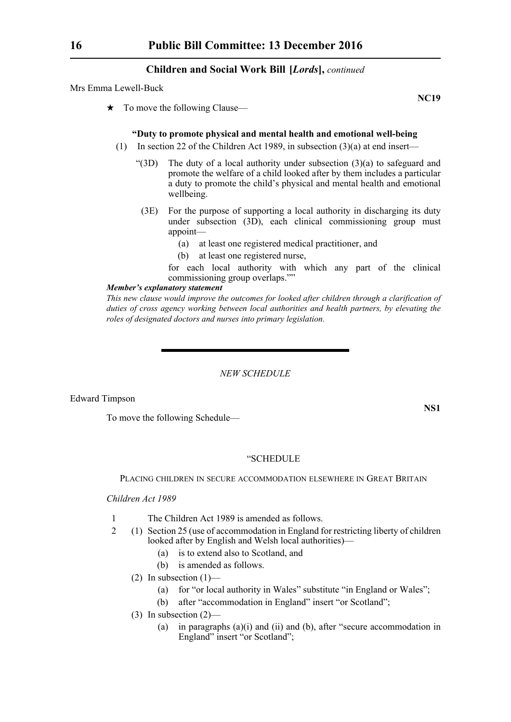Mrs Emma Lewell-Buck

 $\star$  To move the following Clause—

#### **"Duty to promote physical and mental health and emotional well-being**

- (1) In section 22 of the Children Act 1989, in subsection (3)(a) at end insert—
	- "(3D) The duty of a local authority under subsection (3)(a) to safeguard and promote the welfare of a child looked after by them includes a particular a duty to promote the child's physical and mental health and emotional wellbeing.
	- (3E) For the purpose of supporting a local authority in discharging its duty under subsection (3D), each clinical commissioning group must appoint—
		- (a) at least one registered medical practitioner, and
		- (b) at least one registered nurse,

for each local authority with which any part of the clinical commissioning group overlaps.""

#### *Member's explanatory statement*

*This new clause would improve the outcomes for looked after children through a clarification of duties of cross agency working between local authorities and health partners, by elevating the roles of designated doctors and nurses into primary legislation.*

*NEW SCHEDULE*

Edward Timpson

To move the following Schedule—

**NS1**

#### "SCHEDULE

PLACING CHILDREN IN SECURE ACCOMMODATION ELSEWHERE IN GREAT BRITAIN

# *Children Act 1989*

- 1 The Children Act 1989 is amended as follows.
- 2 (1) Section 25 (use of accommodation in England for restricting liberty of children looked after by English and Welsh local authorities)—
	- (a) is to extend also to Scotland, and
	- (b) is amended as follows.
	- (2) In subsection  $(1)$ 
		- (a) for "or local authority in Wales" substitute "in England or Wales";
		- (b) after "accommodation in England" insert "or Scotland";
	- (3) In subsection (2)—
		- (a) in paragraphs (a)(i) and (ii) and (b), after "secure accommodation in England" insert "or Scotland";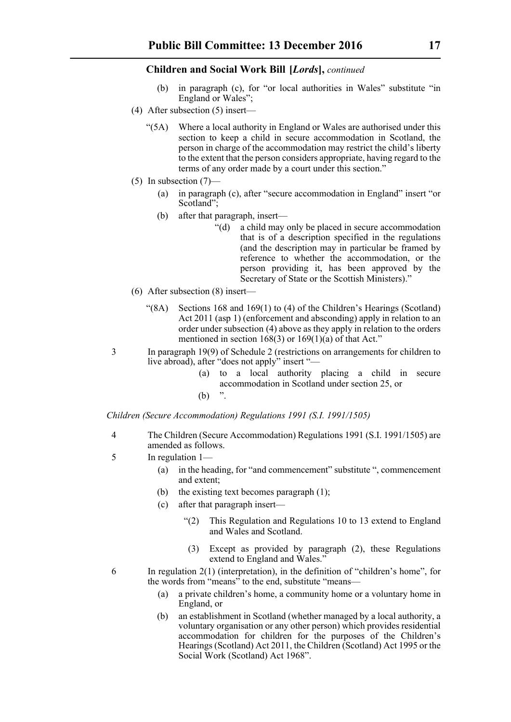- (b) in paragraph (c), for "or local authorities in Wales" substitute "in England or Wales";
- (4) After subsection (5) insert—
	- "(5A) Where a local authority in England or Wales are authorised under this section to keep a child in secure accommodation in Scotland, the person in charge of the accommodation may restrict the child's liberty to the extent that the person considers appropriate, having regard to the terms of any order made by a court under this section."
- (5) In subsection (7)—
	- (a) in paragraph (c), after "secure accommodation in England" insert "or Scotland";
	- (b) after that paragraph, insert—
		- "(d) a child may only be placed in secure accommodation that is of a description specified in the regulations (and the description may in particular be framed by reference to whether the accommodation, or the person providing it, has been approved by the Secretary of State or the Scottish Ministers)."
- (6) After subsection (8) insert—
	- "(8A) Sections 168 and 169(1) to (4) of the Children's Hearings (Scotland) Act 2011 (asp 1) (enforcement and absconding) apply in relation to an order under subsection (4) above as they apply in relation to the orders mentioned in section 168(3) or 169(1)(a) of that Act."
- 3 In paragraph 19(9) of Schedule 2 (restrictions on arrangements for children to live abroad), after "does not apply" insert "—
	- (a) to a local authority placing a child in secure accommodation in Scotland under section 25, or
	- $(b)$

*Children (Secure Accommodation) Regulations 1991 (S.I. 1991/1505)*

- 4 The Children (Secure Accommodation) Regulations 1991 (S.I. 1991/1505) are amended as follows.
- 5 In regulation 1—
	- (a) in the heading, for "and commencement" substitute ", commencement and extent;
	- (b) the existing text becomes paragraph (1);
	- (c) after that paragraph insert—
		- "(2) This Regulation and Regulations 10 to 13 extend to England and Wales and Scotland.
		- (3) Except as provided by paragraph (2), these Regulations extend to England and Wales."
- 6 In regulation 2(1) (interpretation), in the definition of "children's home", for the words from "means" to the end, substitute "means—
	- (a) a private children's home, a community home or a voluntary home in England, or
	- (b) an establishment in Scotland (whether managed by a local authority, a voluntary organisation or any other person) which provides residential accommodation for children for the purposes of the Children's Hearings (Scotland) Act 2011, the Children (Scotland) Act 1995 or the Social Work (Scotland) Act 1968".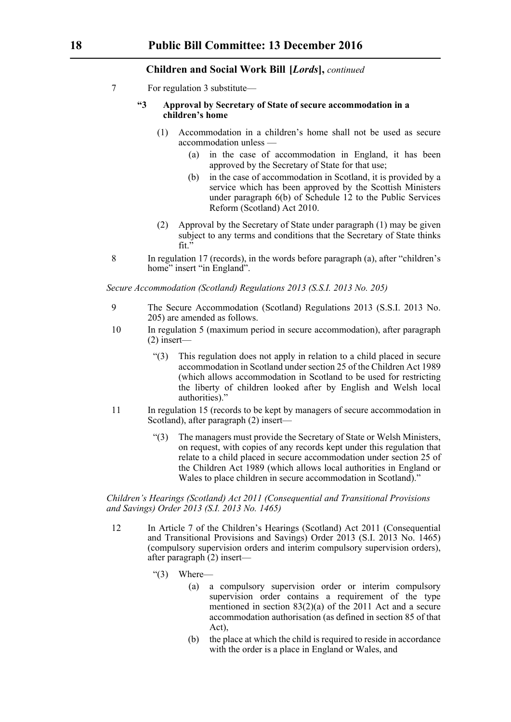7 For regulation 3 substitute—

# **"3 Approval by Secretary of State of secure accommodation in a children's home**

- (1) Accommodation in a children's home shall not be used as secure accommodation unless —
	- (a) in the case of accommodation in England, it has been approved by the Secretary of State for that use;
	- (b) in the case of accommodation in Scotland, it is provided by a service which has been approved by the Scottish Ministers under paragraph 6(b) of Schedule 12 to the Public Services Reform (Scotland) Act 2010.
- (2) Approval by the Secretary of State under paragraph (1) may be given subject to any terms and conditions that the Secretary of State thinks fit."
- 8 In regulation 17 (records), in the words before paragraph (a), after "children's home" insert "in England".

*Secure Accommodation (Scotland) Regulations 2013 (S.S.I. 2013 No. 205)*

- 9 The Secure Accommodation (Scotland) Regulations 2013 (S.S.I. 2013 No. 205) are amended as follows.
- 10 In regulation 5 (maximum period in secure accommodation), after paragraph (2) insert—
	- "(3) This regulation does not apply in relation to a child placed in secure accommodation in Scotland under section 25 of the Children Act 1989 (which allows accommodation in Scotland to be used for restricting the liberty of children looked after by English and Welsh local authorities)."
- 11 In regulation 15 (records to be kept by managers of secure accommodation in Scotland), after paragraph (2) insert—
	- "(3) The managers must provide the Secretary of State or Welsh Ministers, on request, with copies of any records kept under this regulation that relate to a child placed in secure accommodation under section 25 of the Children Act 1989 (which allows local authorities in England or Wales to place children in secure accommodation in Scotland)."

*Children's Hearings (Scotland) Act 2011 (Consequential and Transitional Provisions and Savings) Order 2013 (S.I. 2013 No. 1465)*

- 12 In Article 7 of the Children's Hearings (Scotland) Act 2011 (Consequential and Transitional Provisions and Savings) Order 2013 (S.I. 2013 No. 1465) (compulsory supervision orders and interim compulsory supervision orders), after paragraph (2) insert—
	- "(3) Where—
		- (a) a compulsory supervision order or interim compulsory supervision order contains a requirement of the type mentioned in section 83(2)(a) of the 2011 Act and a secure accommodation authorisation (as defined in section 85 of that Act),
		- (b) the place at which the child is required to reside in accordance with the order is a place in England or Wales, and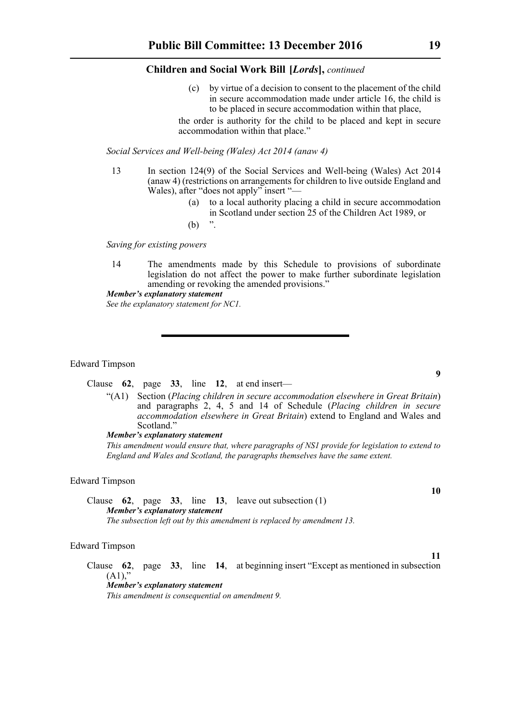(c) by virtue of a decision to consent to the placement of the child in secure accommodation made under article 16, the child is to be placed in secure accommodation within that place,

the order is authority for the child to be placed and kept in secure accommodation within that place."

#### *Social Services and Well-being (Wales) Act 2014 (anaw 4)*

- 13 In section 124(9) of the Social Services and Well-being (Wales) Act 2014 (anaw 4) (restrictions on arrangements for children to live outside England and Wales), after "does not apply" insert "—
	- (a) to a local authority placing a child in secure accommodation in Scotland under section 25 of the Children Act 1989, or
	- $(b)$  "

*Saving for existing powers*

14 The amendments made by this Schedule to provisions of subordinate legislation do not affect the power to make further subordinate legislation amending or revoking the amended provisions."

# *Member's explanatory statement*

*See the explanatory statement for NC1.*

#### Edward Timpson

Clause **62**, page **33**, line **12**, at end insert—

"(A1) Section (*Placing children in secure accommodation elsewhere in Great Britain*) and paragraphs 2, 4, 5 and 14 of Schedule (*Placing children in secure accommodation elsewhere in Great Britain*) extend to England and Wales and Scotland."

# *Member's explanatory statement*

*This amendment would ensure that, where paragraphs of NS1 provide for legislation to extend to England and Wales and Scotland, the paragraphs themselves have the same extent.*

#### Edward Timpson

Clause **62**, page **33**, line **13**, leave out subsection (1) *Member's explanatory statement The subsection left out by this amendment is replaced by amendment 13.*

#### Edward Timpson

Clause **62**, page **33**, line **14**, at beginning insert "Except as mentioned in subsection  $(A1)$ ,"

*Member's explanatory statement This amendment is consequential on amendment 9.*

#### **10**

**9**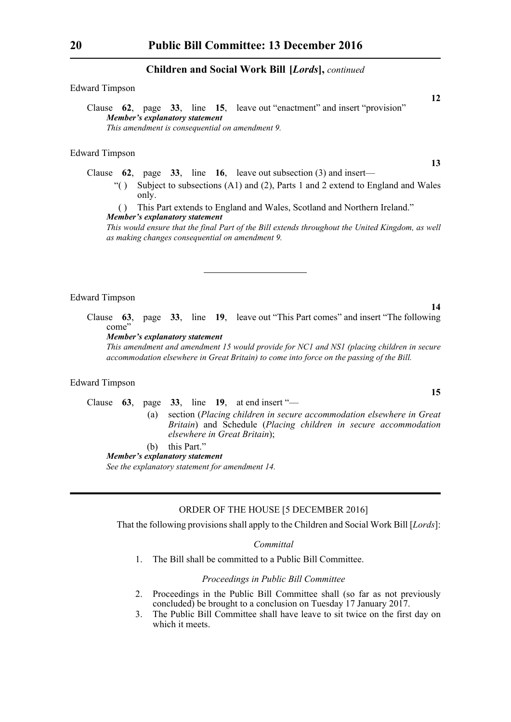### Edward Timpson

Clause **62**, page **33**, line **15**, leave out "enactment" and insert "provision" *Member's explanatory statement This amendment is consequential on amendment 9.*

#### Edward Timpson

Clause **62**, page **33**, line **16**, leave out subsection (3) and insert—

"() Subject to subsections  $(A1)$  and  $(B2)$ , Parts 1 and 2 extend to England and Wales only.

( ) This Part extends to England and Wales, Scotland and Northern Ireland." *Member's explanatory statement* 

*This would ensure that the final Part of the Bill extends throughout the United Kingdom, as well as making changes consequential on amendment 9.*

# Edward Timpson

Clause **63**, page **33**, line **19**, leave out "This Part comes" and insert "The following come'

*Member's explanatory statement* 

*This amendment and amendment 15 would provide for NC1 and NS1 (placing children in secure accommodation elsewhere in Great Britain) to come into force on the passing of the Bill.*

#### Edward Timpson

# Clause **63**, page **33**, line **19**, at end insert "—

(a) section (*Placing children in secure accommodation elsewhere in Great Britain*) and Schedule (*Placing children in secure accommodation elsewhere in Great Britain*);

# (b) this Part."

*Member's explanatory statement* 

*See the explanatory statement for amendment 14.*

# ORDER OF THE HOUSE [5 DECEMBER 2016]

That the following provisions shall apply to the Children and Social Work Bill [*Lords*]:

#### *Committal*

1. The Bill shall be committed to a Public Bill Committee.

#### *Proceedings in Public Bill Committee*

- 2. Proceedings in the Public Bill Committee shall (so far as not previously concluded) be brought to a conclusion on Tuesday 17 January 2017.
- 3. The Public Bill Committee shall have leave to sit twice on the first day on which it meets.

**13**

**12**

**15**